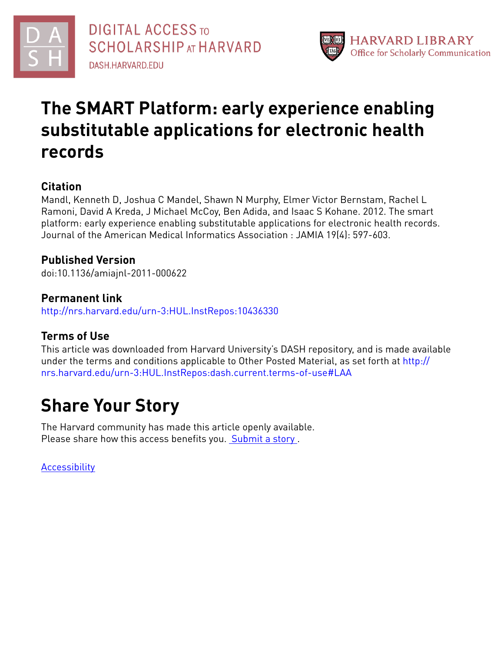



# **The SMART Platform: early experience enabling substitutable applications for electronic health records**

# **Citation**

Mandl, Kenneth D, Joshua C Mandel, Shawn N Murphy, Elmer Victor Bernstam, Rachel L Ramoni, David A Kreda, J Michael McCoy, Ben Adida, and Isaac S Kohane. 2012. The smart platform: early experience enabling substitutable applications for electronic health records. Journal of the American Medical Informatics Association : JAMIA 19(4): 597-603.

## **Published Version**

doi:10.1136/amiajnl-2011-000622

# **Permanent link**

<http://nrs.harvard.edu/urn-3:HUL.InstRepos:10436330>

# **Terms of Use**

This article was downloaded from Harvard University's DASH repository, and is made available under the terms and conditions applicable to Other Posted Material, as set forth at [http://](http://nrs.harvard.edu/urn-3:HUL.InstRepos:dash.current.terms-of-use#LAA) [nrs.harvard.edu/urn-3:HUL.InstRepos:dash.current.terms-of-use#LAA](http://nrs.harvard.edu/urn-3:HUL.InstRepos:dash.current.terms-of-use#LAA)

# **Share Your Story**

The Harvard community has made this article openly available. Please share how this access benefits you. [Submit](http://osc.hul.harvard.edu/dash/open-access-feedback?handle=&title=The%20SMART%20Platform:%20early%20experience%20enabling%20substitutable%20applications%20for%20electronic%20health%20records&community=1/4454685&collection=1/4454686&owningCollection1/4454686&harvardAuthors=f70a05bb80b75a3e00bcc22398298a05&department) a story.

[Accessibility](https://dash.harvard.edu/pages/accessibility)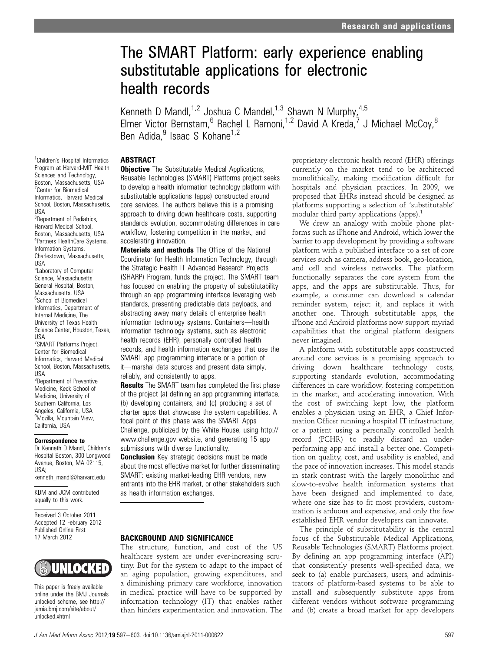# The SMART Platform: early experience enabling substitutable applications for electronic health records

Kenneth D Mandl,<sup>1,2</sup> Joshua C Mandel,<sup>1,3</sup> Shawn N Murphy,<sup>4,5</sup> Elmer Victor Bernstam,<sup>6</sup> Rachel L Ramoni,<sup>1,2</sup> David A Kreda,<sup>7</sup> J Michael McCoy,<sup>8</sup> Ben Adida  $9$  Isaac S Kohane<sup>1,2</sup>

#### ABSTRACT

**Objective** The Substitutable Medical Applications, Reusable Technologies (SMART) Platforms project seeks to develop a health information technology platform with substitutable applications (apps) constructed around core services. The authors believe this is a promising approach to driving down healthcare costs, supporting standards evolution, accommodating differences in care workflow, fostering competition in the market, and accelerating innovation.

Materials and methods The Office of the National Coordinator for Health Information Technology, through the Strategic Health IT Advanced Research Projects (SHARP) Program, funds the project. The SMART team has focused on enabling the property of substitutability through an app programming interface leveraging web standards, presenting predictable data payloads, and abstracting away many details of enterprise health information technology systems. Containers-health information technology systems, such as electronic health records (EHR), personally controlled health records, and health information exchanges that use the SMART app programming interface or a portion of it-marshal data sources and present data simply, reliably, and consistently to apps.

**Results** The SMART team has completed the first phase of the project (a) defining an app programming interface, (b) developing containers, and (c) producing a set of charter apps that showcase the system capabilities. A focal point of this phase was the SMART Apps Challenge, publicized by the White House, using http:// www.challenge.gov website, and generating 15 app submissions with diverse functionality.

**Conclusion** Key strategic decisions must be made about the most effective market for further disseminating SMART: existing market-leading EHR vendors, new entrants into the EHR market, or other stakeholders such as health information exchanges.

#### BACKGROUND AND SIGNIFICANCE

The structure, function, and cost of the US healthcare system are under ever-increasing scrutiny. But for the system to adapt to the impact of an aging population, growing expenditures, and a diminishing primary care workforce, innovation in medical practice will have to be supported by information technology (IT) that enables rather than hinders experimentation and innovation. The proprietary electronic health record (EHR) offerings currently on the market tend to be architected monolithically, making modification difficult for hospitals and physician practices. In 2009, we proposed that EHRs instead should be designed as platforms supporting a selection of 'substitutable' modular third party applications (apps).<sup>1</sup>

We drew an analogy with mobile phone platforms such as iPhone and Android, which lower the barrier to app development by providing a software platform with a published interface to a set of core services such as camera, address book, geo-location, and cell and wireless networks. The platform functionally separates the core system from the apps, and the apps are substitutable. Thus, for example, a consumer can download a calendar reminder system, reject it, and replace it with another one. Through substitutable apps, the iPhone and Android platforms now support myriad capabilities that the original platform designers never imagined.

A platform with substitutable apps constructed around core services is a promising approach to driving down healthcare technology costs, supporting standards evolution, accommodating differences in care workflow, fostering competition in the market, and accelerating innovation. With the cost of switching kept low, the platform enables a physician using an EHR, a Chief Information Officer running a hospital IT infrastructure, or a patient using a personally controlled health record (PCHR) to readily discard an underperforming app and install a better one. Competition on quality, cost, and usability is enabled, and the pace of innovation increases. This model stands in stark contrast with the largely monolithic and slow-to-evolve health information systems that have been designed and implemented to date, where one size has to fit most providers, customization is arduous and expensive, and only the few established EHR vendor developers can innovate.

The principle of substitutability is the central focus of the Substitutable Medical Applications, Reusable Technologies (SMART) Platforms project. By defining an app programming interface (API) that consistently presents well-specified data, we seek to (a) enable purchasers, users, and administrators of platform-based systems to be able to install and subsequently substitute apps from different vendors without software programming and (b) create a broad market for app developers

Boston, Massachusetts, USA <sup>2</sup>Center for Biomedical Informatics, Harvard Medical School, Boston, Massachusetts, **IISA** <sup>3</sup>Department of Pediatrics, Harvard Medical School, Boston, Massachusetts, USA 4 Partners HealthCare Systems, Information Systems, Charlestown, Massachusetts, USA <sup>5</sup> Laboratory of Computer Science, Massachusetts General Hospital, Boston, Massachusetts, USA <sup>6</sup>School of Biomedical Informatics, Department of Internal Medicine, The University of Texas Health Science Center, Houston, Texas, **IISA** <sup>7</sup> SMART Platforms Project, Center for Biomedical Informatics, Harvard Medical School, Boston, Massachusetts, **IISA** <sup>8</sup>Department of Preventive Medicine, Keck School of Medicine, University of Southern California, Los Angeles, California, USA 9 Mozilla, Mountain View,

<sup>1</sup> Children's Hospital Informatics Program at Harvard-MIT Health Sciences and Technology,

#### Correspondence to

California, USA

Dr Kenneth D Mandl, Children's Hospital Boston, 300 Longwood Avenue, Boston, MA 02115, USA;

kenneth\_mandl@harvard.edu

KDM and JCM contributed equally to this work.

Received 3 October 2011 Accepted 12 February 2012 Published Online First 17 March 2012



This paper is freely available online under the BMJ Journals unlocked scheme, see http:// jamia.bmj.com/site/about/ unlocked.xhtml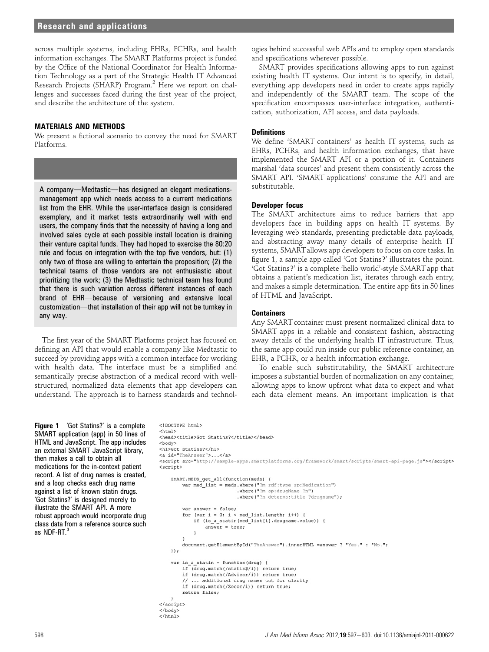across multiple systems, including EHRs, PCHRs, and health information exchanges. The SMART Platforms project is funded by the Office of the National Coordinator for Health Information Technology as a part of the Strategic Health IT Advanced Research Projects (SHARP) Program.<sup>2</sup> Here we report on challenges and successes faced during the first year of the project, and describe the architecture of the system.

### MATERIALS AND METHODS

We present a fictional scenario to convey the need for SMART Platforms.

A company-Medtastic-has designed an elegant medicationsmanagement app which needs access to a current medications list from the EHR. While the user-interface design is considered exemplary, and it market tests extraordinarily well with end users, the company finds that the necessity of having a long and involved sales cycle at each possible install location is draining their venture capital funds. They had hoped to exercise the 80:20 rule and focus on integration with the top five vendors, but: (1) only two of those are willing to entertain the proposition; (2) the technical teams of those vendors are not enthusiastic about prioritizing the work; (3) the Medtastic technical team has found that there is such variation across different instances of each brand of EHR-because of versioning and extensive local customization-that installation of their app will not be turnkey in any way.

The first year of the SMART Platforms project has focused on defining an API that would enable a company like Medtastic to succeed by providing apps with a common interface for working with health data. The interface must be a simplified and semantically precise abstraction of a medical record with wellstructured, normalized data elements that app developers can understand. The approach is to harness standards and technol-

Figure 1 'Got Statins?' is a complete SMART application (app) in 50 lines of HTML and JavaScript. The app includes an external SMART JavaScript library, then makes a call to obtain all medications for the in-context patient record. A list of drug names is created, and a loop checks each drug name against a list of known statin drugs. 'Got Statins?' is designed merely to illustrate the SMART API. A more robust approach would incorporate drug class data from a reference source such as NDF-RT.3

ogies behind successful web APIs and to employ open standards and specifications wherever possible.

SMART provides specifications allowing apps to run against existing health IT systems. Our intent is to specify, in detail, everything app developers need in order to create apps rapidly and independently of the SMART team. The scope of the specification encompasses user-interface integration, authentication, authorization, API access, and data payloads.

#### **Definitions**

We define 'SMART containers' as health IT systems, such as EHRs, PCHRs, and health information exchanges, that have implemented the SMART API or a portion of it. Containers marshal 'data sources' and present them consistently across the SMART API. 'SMART applications' consume the API and are substitutable.

#### Developer focus

The SMART architecture aims to reduce barriers that app developers face in building apps on health IT systems. By leveraging web standards, presenting predictable data payloads, and abstracting away many details of enterprise health IT systems, SMARTallows app developers to focus on core tasks. In figure 1, a sample app called 'Got Statins?' illustrates the point. 'Got Statins?' is a complete 'hello world'-style SMART app that obtains a patient's medication list, iterates through each entry, and makes a simple determination. The entire app fits in 50 lines of HTML and JavaScript.

#### **Containers**

Any SMART container must present normalized clinical data to SMART apps in a reliable and consistent fashion, abstracting away details of the underlying health IT infrastructure. Thus, the same app could run inside our public reference container, an EHR, a PCHR, or a health information exchange.

To enable such substitutability, the SMART architecture imposes a substantial burden of normalization on any container, allowing apps to know upfront what data to expect and what each data element means. An important implication is that

```
<! DOCTYPE html>
<html>
<head><title>Got Statins?</title></head>
<body>
<hl>Got Statins?</hl>
<a id="TheAnswer">...</a>
<script src="http://sample-apps.smartplatforms.org/framework/smart/scripts/smart-api-page.js"></script>
<script>
    SMART.MEDS get all (function (meds) {
        var med_list = meds.where("?m rdf:type sp:Medication")
                            .where("?m sp:drugName ?n")
                            .where("?n dcterms:title ?drugname");
        var answer = false;for (var i = 0; i < \text{med\_list.length}; i++) (
            if (is a statin (med list[i].drugname.value)) {
                answer = true;document.getElementById("TheAnswer").innerHTML =answer ? "Yes." : "No.";
    );
    var is_a_statin = function(drug) {
        if (drug.match(/statin$/i)) return true;
        if (drug.match(/Advicor/i)) return true;
        // ... additional drug names cut for clarity
        if (drug.match(/Zocor/i)) return true;
        return false;
    \overline{\phantom{a}}</script>
</body>
</html>
```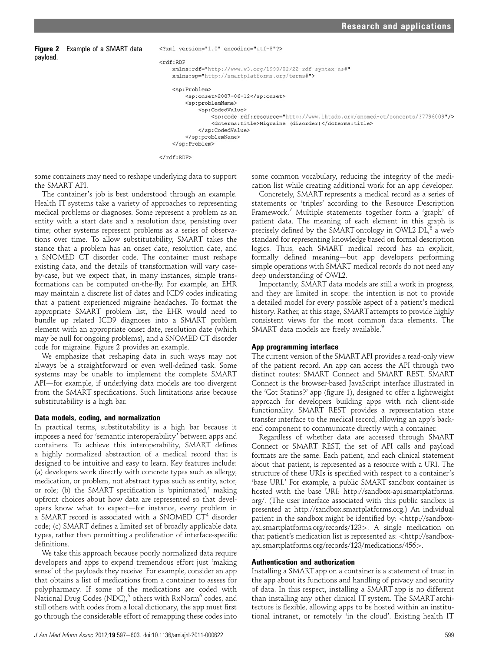```
Figure 2 Example of a SMART data
                                       <?xml version="1.0" encoding="utf-8"?>
payload.
                                       crdf:RDFxmlns:rdf="http://www.w3.org/1999/02/22-rdf-syntax-ns#"
                                            xmlns:sp="http://smartplatforms.org/terms#">
                                            <sp:Problem>
                                                <sp:onset>2007-06-12</sp:onset>
                                                <sp:problemName>
                                                    <sp:CodedValue>
                                                        <sp:code rdf:resource="http://www.ihtsdo.org/snomed-ct/concepts/37796009"/>
                                                        <dcterms:title>Migraine (disorder)</dcterms:title>
                                                    </sp:CodedValue>
                                                </sp:problemName>
                                            </sp:Problem>
                                        \langle/rdf:RDF>
```
some containers may need to reshape underlying data to support the SMART API.

The container's job is best understood through an example. Health IT systems take a variety of approaches to representing medical problems or diagnoses. Some represent a problem as an entity with a start date and a resolution date, persisting over time; other systems represent problems as a series of observations over time. To allow substitutability, SMART takes the stance that a problem has an onset date, resolution date, and a SNOMED CT disorder code. The container must reshape existing data, and the details of transformation will vary caseby-case, but we expect that, in many instances, simple transformations can be computed on-the-fly. For example, an EHR may maintain a discrete list of dates and ICD9 codes indicating that a patient experienced migraine headaches. To format the appropriate SMART problem list, the EHR would need to bundle up related ICD9 diagnoses into a SMART problem element with an appropriate onset date, resolution date (which may be null for ongoing problems), and a SNOMED CT disorder code for migraine. Figure 2 provides an example.

We emphasize that reshaping data in such ways may not always be a straightforward or even well-defined task. Some systems may be unable to implement the complete SMART API-for example, if underlying data models are too divergent from the SMART specifications. Such limitations arise because substitutability is a high bar.

#### Data models, coding, and normalization

In practical terms, substitutability is a high bar because it imposes a need for 'semantic interoperability' between apps and containers. To achieve this interoperability, SMART defines a highly normalized abstraction of a medical record that is designed to be intuitive and easy to learn. Key features include: (a) developers work directly with concrete types such as allergy, medication, or problem, not abstract types such as entity, actor, or role; (b) the SMART specification is 'opinionated,' making upfront choices about how data are represented so that developers know what to expect-for instance, every problem in a SMART record is associated with a SNOMED  $CT<sup>4</sup>$  disorder code; (c) SMART defines a limited set of broadly applicable data types, rather than permitting a proliferation of interface-specific definitions.

We take this approach because poorly normalized data require developers and apps to expend tremendous effort just 'making sense' of the payloads they receive. For example, consider an app that obtains a list of medications from a container to assess for polypharmacy. If some of the medications are coded with National Drug Codes (NDC), $5$  others with RxNorm<sup>6</sup> codes, and still others with codes from a local dictionary, the app must first go through the considerable effort of remapping these codes into some common vocabulary, reducing the integrity of the medication list while creating additional work for an app developer.

Concretely, SMART represents a medical record as a series of statements or 'triples' according to the Resource Description Framework.7 Multiple statements together form a 'graph' of patient data. The meaning of each element in this graph is precisely defined by the SMART ontology in OWL2 DL,<sup>8</sup> a web standard for representing knowledge based on formal description logics. Thus, each SMART medical record has an explicit, formally defined meaning-but app developers performing simple operations with SMART medical records do not need any deep understanding of OWL2.

Importantly, SMART data models are still a work in progress, and they are limited in scope: the intention is not to provide a detailed model for every possible aspect of a patient's medical history. Rather, at this stage, SMART attempts to provide highly consistent views for the most common data elements. The SMART data models are freely available.<sup>9</sup>

#### App programming interface

The current version of the SMART API provides a read-only view of the patient record. An app can access the API through two distinct routes: SMART Connect and SMART REST. SMART Connect is the browser-based JavaScript interface illustrated in the 'Got Statins?' app (figure 1), designed to offer a lightweight approach for developers building apps with rich client-side functionality. SMART REST provides a representation state transfer interface to the medical record, allowing an app's backend component to communicate directly with a container.

Regardless of whether data are accessed through SMART Connect or SMART REST, the set of API calls and payload formats are the same. Each patient, and each clinical statement about that patient, is represented as a resource with a URI. The structure of these URIs is specified with respect to a container's 'base URI.' For example, a public SMART sandbox container is hosted with the base URI: http://sandbox-api.smartplatforms. org/. (The user interface associated with this public sandbox is presented at http://sandbox.smartplatforms.org.) An individual patient in the sandbox might be identified by: <http://sandboxapi.smartplatforms.org/records/123>. A single medication on that patient's medication list is represented as: <http://sandboxapi.smartplatforms.org/records/123/medications/456>.

#### Authentication and authorization

Installing a SMART app on a container is a statement of trust in the app about its functions and handling of privacy and security of data. In this respect, installing a SMART app is no different than installing any other clinical IT system. The SMART architecture is flexible, allowing apps to be hosted within an institutional intranet, or remotely 'in the cloud'. Existing health IT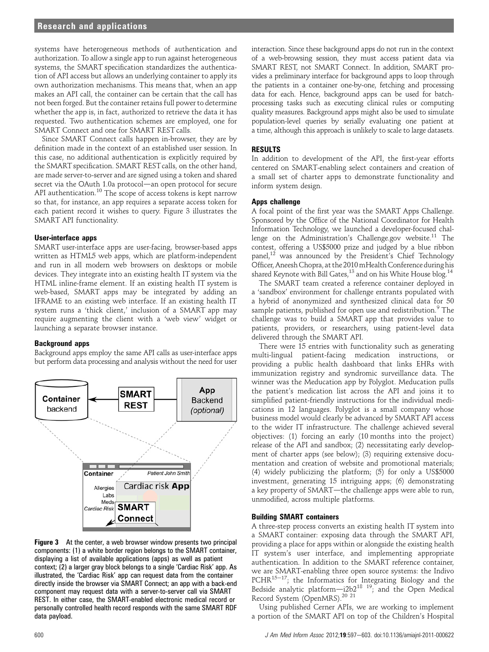systems have heterogeneous methods of authentication and authorization. To allow a single app to run against heterogeneous systems, the SMART specification standardizes the authentication of API access but allows an underlying container to apply its own authorization mechanisms. This means that, when an app makes an API call, the container can be certain that the call has not been forged. But the container retains full power to determine whether the app is, in fact, authorized to retrieve the data it has requested. Two authentication schemes are employed, one for SMART Connect and one for SMART REST calls.

Since SMART Connect calls happen in-browser, they are by definition made in the context of an established user session. In this case, no additional authentication is explicitly required by the SMART specification. SMART REST calls, on the other hand, are made server-to-server and are signed using a token and shared secret via the OAuth 1.0a protocol—an open protocol for secure API authentication.<sup>10</sup> The scope of access tokens is kept narrow so that, for instance, an app requires a separate access token for each patient record it wishes to query. Figure 3 illustrates the SMART API functionality.

#### User-interface apps

SMART user-interface apps are user-facing, browser-based apps written as HTML5 web apps, which are platform-independent and run in all modern web browsers on desktops or mobile devices. They integrate into an existing health IT system via the HTML inline-frame element. If an existing health IT system is web-based, SMART apps may be integrated by adding an IFRAME to an existing web interface. If an existing health IT system runs a 'thick client,' inclusion of a SMART app may require augmenting the client with a 'web view' widget or launching a separate browser instance.

#### Background apps

Background apps employ the same API calls as user-interface apps but perform data processing and analysis without the need for user



**Figure 3** At the center, a web browser window presents two principal components: (1) a white border region belongs to the SMART container, displaying a list of available applications (apps) as well as patient context; (2) a larger gray block belongs to a single 'Cardiac Risk' app. As illustrated, the 'Cardiac Risk' app can request data from the container directly inside the browser via SMART Connect; an app with a back-end component may request data with a server-to-server call via SMART REST. In either case, the SMART-enabled electronic medical record or personally controlled health record responds with the same SMART RDF data payload.

interaction. Since these background apps do not run in the context of a web-browsing session, they must access patient data via SMART REST, not SMART Connect. In addition, SMART provides a preliminary interface for background apps to loop through the patients in a container one-by-one, fetching and processing data for each. Hence, background apps can be used for batchprocessing tasks such as executing clinical rules or computing quality measures. Background apps might also be used to simulate population-level queries by serially evaluating one patient at a time, although this approach is unlikely to scale to large datasets.

## RESULTS

In addition to development of the API, the first-year efforts centered on SMART-enabling select containers and creation of a small set of charter apps to demonstrate functionality and inform system design.

#### Apps challenge

A focal point of the first year was the SMART Apps Challenge. Sponsored by the Office of the National Coordinator for Health Information Technology, we launched a developer-focused challenge on the Administration's Challenge.gov website.<sup>11</sup> The contest, offering a US\$5000 prize and judged by a blue ribbon panel,<sup>12</sup> was announced by the President's Chief Technology Officer, Aneesh Chopra, at the 2010mHealth Conference during his shared Keynote with Bill Gates,<sup>13</sup> and on his White House blog.<sup>14</sup>

The SMART team created a reference container deployed in a 'sandbox' environment for challenge entrants populated with a hybrid of anonymized and synthesized clinical data for 50 sample patients, published for open use and redistribution.<sup>9</sup> The challenge was to build a SMART app that provides value to patients, providers, or researchers, using patient-level data delivered through the SMART API.

There were 15 entries with functionality such as generating multi-lingual patient-facing medication instructions, or providing a public health dashboard that links EHRs with immunization registry and syndromic surveillance data. The winner was the Meducation app by Polyglot. Meducation pulls the patient's medication list across the API and joins it to simplified patient-friendly instructions for the individual medications in 12 languages. Polyglot is a small company whose business model would clearly be advanced by SMART API access to the wider IT infrastructure. The challenge achieved several objectives: (1) forcing an early (10 months into the project) release of the API and sandbox; (2) necessitating early development of charter apps (see below); (3) requiring extensive documentation and creation of website and promotional materials; (4) widely publicizing the platform; (5) for only a US\$5000 investment, generating 15 intriguing apps; (6) demonstrating a key property of SMART-the challenge apps were able to run, unmodified, across multiple platforms.

#### Building SMART containers

A three-step process converts an existing health IT system into a SMART container: exposing data through the SMART API, providing a place for apps within or alongside the existing health IT system's user interface, and implementing appropriate authentication. In addition to the SMART reference container, we are SMART-enabling three open source systems: the Indivo  $PCHR<sup>15–17</sup>$ ; the Informatics for Integrating Biology and the Bedside analytic platform— $i2b2^{18}$  <sup>19</sup>; and the Open Medical Record System (OpenMRS).20 21

Using published Cerner APIs, we are working to implement a portion of the SMART API on top of the Children's Hospital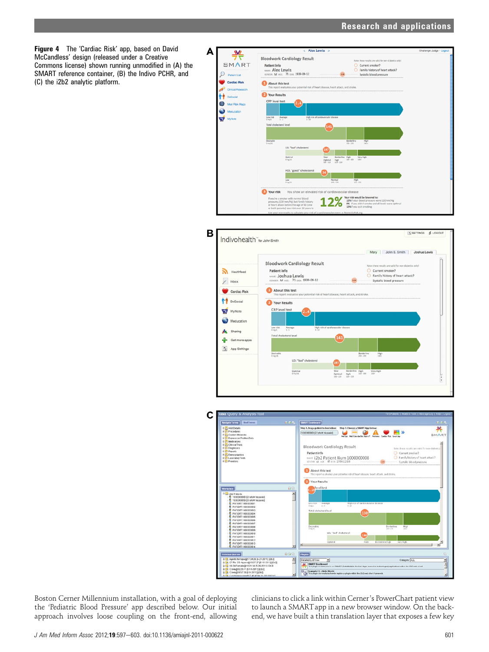Figure 4 The 'Cardiac Risk' app, based on David McCandless' design (released under a Creative Commons license) shown running unmodified in (A) the SMART reference container, (B) the Indivo PCHR, and (C) the i2b2 analytic platform.







Boston Cerner Millennium installation, with a goal of deploying the 'Pediatric Blood Pressure' app described below. Our initial approach involves loose coupling on the front-end, allowing clinicians to click a link within Cerner's PowerChart patient view to launch a SMARTapp in a new browser window. On the backend, we have built a thin translation layer that exposes a few key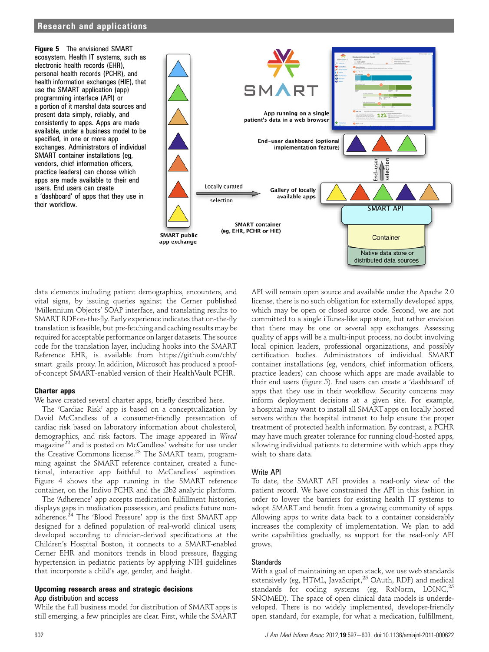Figure 5 The envisioned SMART ecosystem. Health IT systems, such as electronic health records (EHR), personal health records (PCHR), and health information exchanges (HIE), that use the SMART application (app) programming interface (API) or a portion of it marshal data sources and present data simply, reliably, and consistently to apps. Apps are made available, under a business model to be specified, in one or more app exchanges. Administrators of individual SMART container installations (eg, vendors, chief information officers, practice leaders) can choose which apps are made available to their end users. End users can create a 'dashboard' of apps that they use in their workflow.



data elements including patient demographics, encounters, and vital signs, by issuing queries against the Cerner published 'Millennium Objects' SOAP interface, and translating results to SMART RDF on-the-fly. Early experience indicates that on-the-fly translation is feasible, but pre-fetching and caching results may be required for acceptable performance on larger datasets. The source code for the translation layer, including hooks into the SMART Reference EHR, is available from https://github.com/chb/ smart\_grails\_proxy. In addition, Microsoft has produced a proofof-concept SMART-enabled version of their HealthVault PCHR.

#### Charter apps

We have created several charter apps, briefly described here.

The 'Cardiac Risk' app is based on a conceptualization by David McCandless of a consumer-friendly presentation of cardiac risk based on laboratory information about cholesterol, demographics, and risk factors. The image appeared in Wired magazine<sup>22</sup> and is posted on McCandless' website for use under the Creative Commons license.<sup>23</sup> The SMART team, programming against the SMART reference container, created a functional, interactive app faithful to McCandless' aspiration. Figure 4 shows the app running in the SMART reference container, on the Indivo PCHR and the i2b2 analytic platform.

The 'Adherence' app accepts medication fulfillment histories, displays gaps in medication possession, and predicts future nonadherence.<sup>24</sup> The 'Blood Pressure' app is the first SMART app designed for a defined population of real-world clinical users; developed according to clinician-derived specifications at the Children's Hospital Boston, it connects to a SMART-enabled Cerner EHR and monitors trends in blood pressure, flagging hypertension in pediatric patients by applying NIH guidelines that incorporate a child's age, gender, and height.

## Upcoming research areas and strategic decisions

## App distribution and access

While the full business model for distribution of SMART apps is still emerging, a few principles are clear. First, while the SMART

API will remain open source and available under the Apache 2.0 license, there is no such obligation for externally developed apps, which may be open or closed source code. Second, we are not committed to a single iTunes-like app store, but rather envision that there may be one or several app exchanges. Assessing quality of apps will be a multi-input process, no doubt involving local opinion leaders, professional organizations, and possibly certification bodies. Administrators of individual SMART container installations (eg, vendors, chief information officers, practice leaders) can choose which apps are made available to their end users (figure 5). End users can create a 'dashboard' of apps that they use in their workflow. Security concerns may inform deployment decisions at a given site. For example, a hospital may want to install all SMARTapps on locally hosted servers within the hospital intranet to help ensure the proper treatment of protected health information. By contrast, a PCHR may have much greater tolerance for running cloud-hosted apps, allowing individual patients to determine with which apps they wish to share data.

#### Write API

To date, the SMART API provides a read-only view of the patient record. We have constrained the API in this fashion in order to lower the barriers for existing health IT systems to adopt SMART and benefit from a growing community of apps. Allowing apps to write data back to a container considerably increases the complexity of implementation. We plan to add write capabilities gradually, as support for the read-only API grows.

#### **Standards**

With a goal of maintaining an open stack, we use web standards extensively (eg, HTML, JavaScript,<sup>25</sup> OAuth, RDF) and medical standards for coding systems (eg, RxNorm, LOINC,<sup>25</sup> SNOMED). The space of open clinical data models is underdeveloped. There is no widely implemented, developer-friendly open standard, for example, for what a medication, fulfillment,